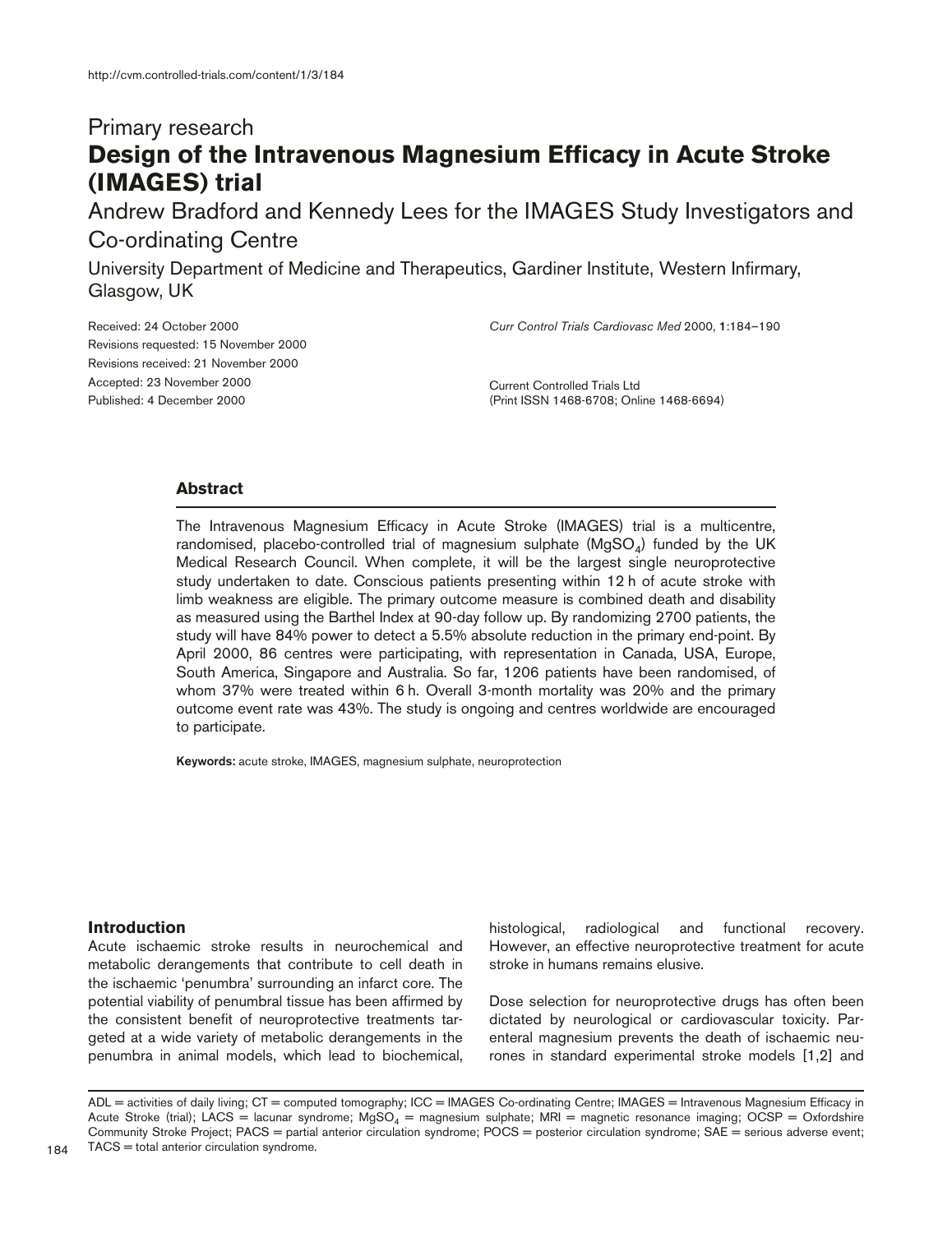# Primary research **Design of the Intravenous Magnesium Efficacy in Acute Stroke (IMAGES) trial**

Andrew Bradford and Kennedy Lees for the IMAGES Study Investigators and Co-ordinating Centre

University Department of Medicine and Therapeutics, Gardiner Institute, Western Infirmary, Glasgow, UK

*Curr Control Trials Cardiovasc Med* 2000, **1**:184–190

Received: 24 October 2000 Revisions requested: 15 November 2000 Revisions received: 21 November 2000 Accepted: 23 November 2000 Published: 4 December 2000

Current Controlled Trials Ltd (Print ISSN 1468-6708; Online 1468-6694)

# **Abstract**

The Intravenous Magnesium Efficacy in Acute Stroke (IMAGES) trial is a multicentre, randomised, placebo-controlled trial of magnesium sulphate  $(MgSO<sub>4</sub>)$  funded by the UK Medical Research Council. When complete, it will be the largest single neuroprotective study undertaken to date. Conscious patients presenting within 12 h of acute stroke with limb weakness are eligible. The primary outcome measure is combined death and disability as measured using the Barthel Index at 90-day follow up. By randomizing 2700 patients, the study will have 84% power to detect a 5.5% absolute reduction in the primary end-point. By April 2000, 86 centres were participating, with representation in Canada, USA, Europe, South America, Singapore and Australia. So far, 1206 patients have been randomised, of whom 37% were treated within 6 h. Overall 3-month mortality was 20% and the primary outcome event rate was 43%. The study is ongoing and centres worldwide are encouraged to participate.

**Keywords:** acute stroke, IMAGES, magnesium sulphate, neuroprotection

# **Introduction**

Acute ischaemic stroke results in neurochemical and metabolic derangements that contribute to cell death in the ischaemic 'penumbra' surrounding an infarct core. The potential viability of penumbral tissue has been affirmed by the consistent benefit of neuroprotective treatments targeted at a wide variety of metabolic derangements in the penumbra in animal models, which lead to biochemical, histological, radiological and functional recovery. However, an effective neuroprotective treatment for acute stroke in humans remains elusive.

Dose selection for neuroprotective drugs has often been dictated by neurological or cardiovascular toxicity. Parenteral magnesium prevents the death of ischaemic neurones in standard experimental stroke models [1,2] and

ADL = activities of daily living; CT = computed tomography; ICC = IMAGES Co-ordinating Centre; IMAGES = Intravenous Magnesium Efficacy in Acute Stroke (trial); LACS = lacunar syndrome; MgSO<sub>4</sub> = magnesium sulphate; MRI = magnetic resonance imaging; OCSP = Oxfordshire Community Stroke Project; PACS = partial anterior circulation syndrome; POCS = posterior circulation syndrome; SAE = serious adverse event; TACS = total anterior circulation syndrome.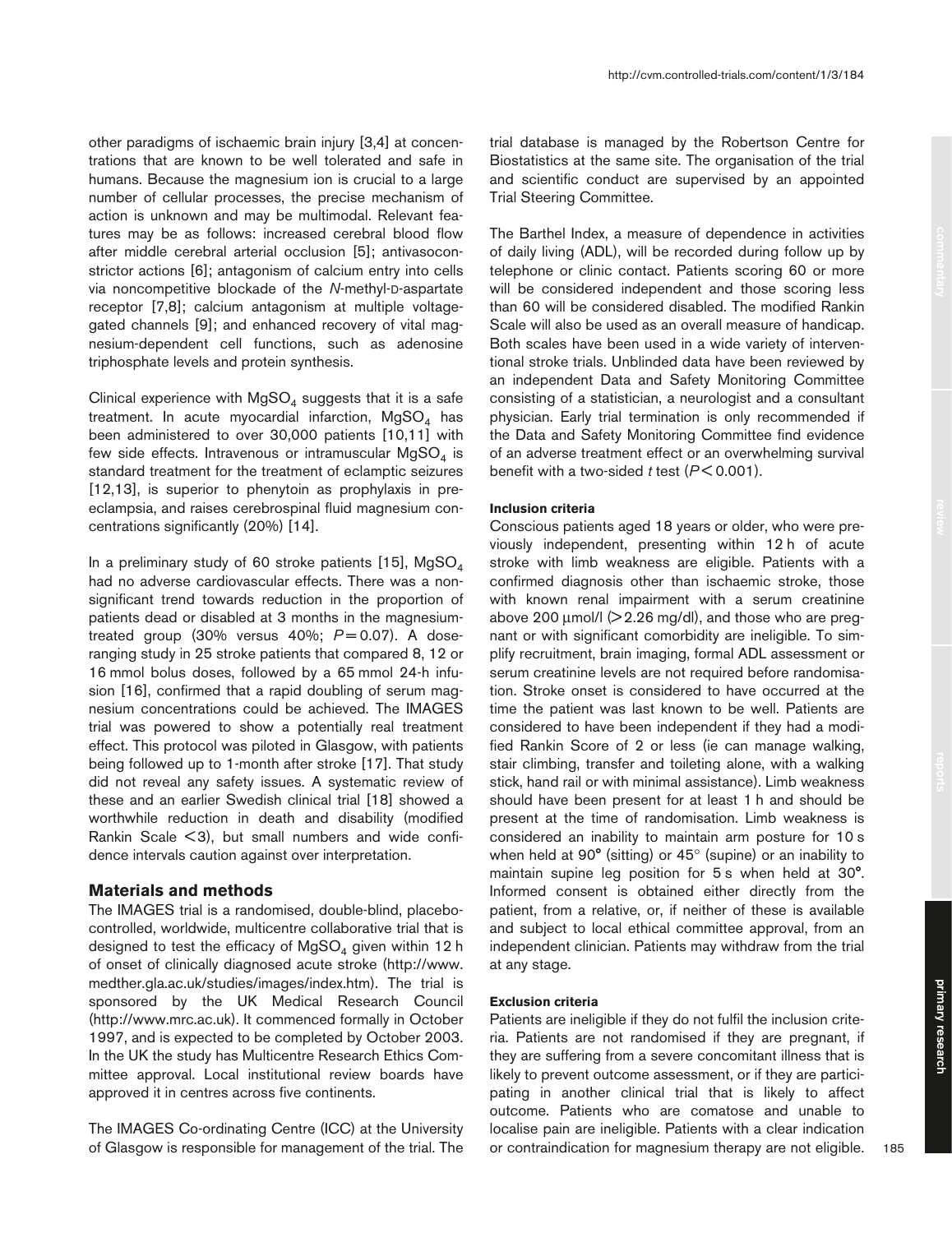other paradigms of ischaemic brain injury [3,4] at concentrations that are known to be well tolerated and safe in humans. Because the magnesium ion is crucial to a large number of cellular processes, the precise mechanism of action is unknown and may be multimodal. Relevant features may be as follows: increased cerebral blood flow after middle cerebral arterial occlusion [5]; antivasoconstrictor actions [6]; antagonism of calcium entry into cells via noncompetitive blockade of the *N*-methyl-D-aspartate receptor [7,8]; calcium antagonism at multiple voltagegated channels [9]; and enhanced recovery of vital magnesium-dependent cell functions, such as adenosine triphosphate levels and protein synthesis.

Clinical experience with  $MgSO<sub>4</sub>$  suggests that it is a safe treatment. In acute myocardial infarction,  $MgSO<sub>4</sub>$  has been administered to over 30,000 patients [10,11] with few side effects. Intravenous or intramuscular  $MgSO<sub>4</sub>$  is standard treatment for the treatment of eclamptic seizures [12,13], is superior to phenytoin as prophylaxis in preeclampsia, and raises cerebrospinal fluid magnesium concentrations significantly (20%) [14].

In a preliminary study of 60 stroke patients [15],  $MqSO<sub>4</sub>$ had no adverse cardiovascular effects. There was a nonsignificant trend towards reduction in the proportion of patients dead or disabled at 3 months in the magnesiumtreated group  $(30\%$  versus  $40\%$ ;  $P = 0.07$ ). A doseranging study in 25 stroke patients that compared 8, 12 or 16 mmol bolus doses, followed by a 65 mmol 24-h infusion [16], confirmed that a rapid doubling of serum magnesium concentrations could be achieved. The IMAGES trial was powered to show a potentially real treatment effect. This protocol was piloted in Glasgow, with patients being followed up to 1-month after stroke [17]. That study did not reveal any safety issues. A systematic review of these and an earlier Swedish clinical trial [18] showed a worthwhile reduction in death and disability (modified Rankin Scale < 3), but small numbers and wide confidence intervals caution against over interpretation.

#### **Materials and methods**

The IMAGES trial is a randomised, double-blind, placebocontrolled, worldwide, multicentre collaborative trial that is designed to test the efficacy of  $MgSO<sub>4</sub>$  given within 12 h of onset of clinically diagnosed acute stroke (http://www. medther.gla.ac.uk/studies/images/index.htm). The trial is sponsored by the UK Medical Research Council (http://www.mrc.ac.uk). It commenced formally in October 1997, and is expected to be completed by October 2003. In the UK the study has Multicentre Research Ethics Committee approval. Local institutional review boards have approved it in centres across five continents.

The IMAGES Co-ordinating Centre (ICC) at the University of Glasgow is responsible for management of the trial. The trial database is managed by the Robertson Centre for Biostatistics at the same site. The organisation of the trial and scientific conduct are supervised by an appointed Trial Steering Committee.

The Barthel Index, a measure of dependence in activities of daily living (ADL), will be recorded during follow up by telephone or clinic contact. Patients scoring 60 or more will be considered independent and those scoring less than 60 will be considered disabled. The modified Rankin Scale will also be used as an overall measure of handicap. Both scales have been used in a wide variety of interventional stroke trials. Unblinded data have been reviewed by an independent Data and Safety Monitoring Committee consisting of a statistician, a neurologist and a consultant physician. Early trial termination is only recommended if the Data and Safety Monitoring Committee find evidence of an adverse treatment effect or an overwhelming survival benefit with a two-sided *t* test (*P* < 0.001).

#### **Inclusion criteria**

Conscious patients aged 18 years or older, who were previously independent, presenting within 12 h of acute stroke with limb weakness are eligible. Patients with a confirmed diagnosis other than ischaemic stroke, those with known renal impairment with a serum creatinine above 200  $\mu$ mol/l ( $>$  2.26 mg/dl), and those who are pregnant or with significant comorbidity are ineligible. To simplify recruitment, brain imaging, formal ADL assessment or serum creatinine levels are not required before randomisation. Stroke onset is considered to have occurred at the time the patient was last known to be well. Patients are considered to have been independent if they had a modified Rankin Score of 2 or less (ie can manage walking, stair climbing, transfer and toileting alone, with a walking stick, hand rail or with minimal assistance). Limb weakness should have been present for at least 1 h and should be present at the time of randomisation. Limb weakness is considered an inability to maintain arm posture for 10 s when held at 90° (sitting) or 45° (supine) or an inability to maintain supine leg position for 5 s when held at 30°. Informed consent is obtained either directly from the patient, from a relative, or, if neither of these is available and subject to local ethical committee approval, from an independent clinician. Patients may withdraw from the trial at any stage.

#### **Exclusion criteria**

Patients are ineligible if they do not fulfil the inclusion criteria. Patients are not randomised if they are pregnant, if they are suffering from a severe concomitant illness that is likely to prevent outcome assessment, or if they are participating in another clinical trial that is likely to affect outcome. Patients who are comatose and unable to localise pain are ineligible. Patients with a clear indication or contraindication for magnesium therapy are not eligible.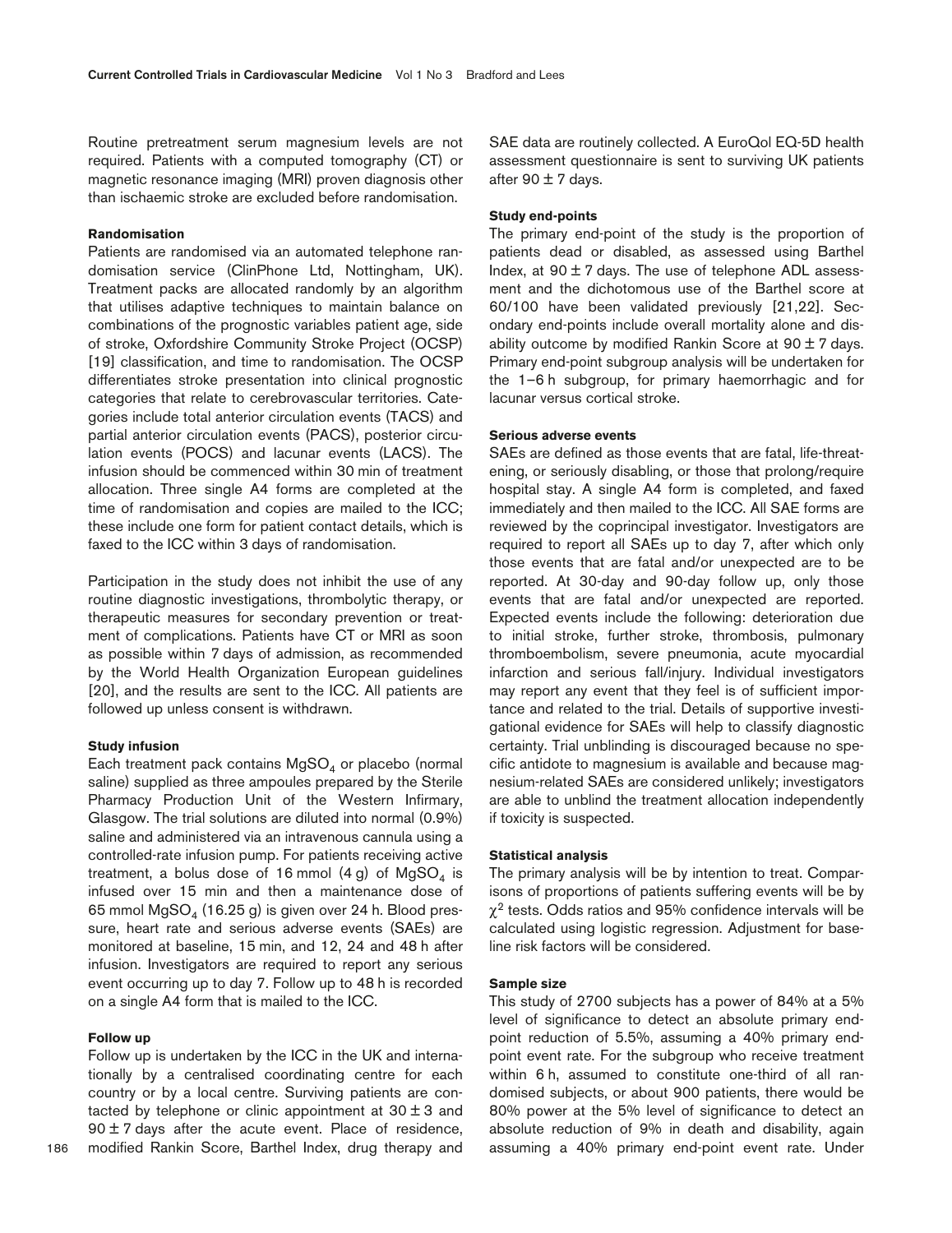Routine pretreatment serum magnesium levels are not required. Patients with a computed tomography (CT) or magnetic resonance imaging (MRI) proven diagnosis other than ischaemic stroke are excluded before randomisation.

## **Randomisation**

Patients are randomised via an automated telephone randomisation service (ClinPhone Ltd, Nottingham, UK). Treatment packs are allocated randomly by an algorithm that utilises adaptive techniques to maintain balance on combinations of the prognostic variables patient age, side of stroke, Oxfordshire Community Stroke Project (OCSP) [19] classification, and time to randomisation. The OCSP differentiates stroke presentation into clinical prognostic categories that relate to cerebrovascular territories. Categories include total anterior circulation events (TACS) and partial anterior circulation events (PACS), posterior circulation events (POCS) and lacunar events (LACS). The infusion should be commenced within 30 min of treatment allocation. Three single A4 forms are completed at the time of randomisation and copies are mailed to the ICC; these include one form for patient contact details, which is faxed to the ICC within 3 days of randomisation.

Participation in the study does not inhibit the use of any routine diagnostic investigations, thrombolytic therapy, or therapeutic measures for secondary prevention or treatment of complications. Patients have CT or MRI as soon as possible within 7 days of admission, as recommended by the World Health Organization European guidelines [20], and the results are sent to the ICC. All patients are followed up unless consent is withdrawn.

#### **Study infusion**

Each treatment pack contains  $MgSO<sub>4</sub>$  or placebo (normal saline) supplied as three ampoules prepared by the Sterile Pharmacy Production Unit of the Western Infirmary, Glasgow. The trial solutions are diluted into normal (0.9%) saline and administered via an intravenous cannula using a controlled-rate infusion pump. For patients receiving active treatment, a bolus dose of 16 mmol  $(4 g)$  of MgSO<sub>4</sub> is infused over 15 min and then a maintenance dose of 65 mmol  $MgSO<sub>4</sub>$  (16.25 g) is given over 24 h. Blood pressure, heart rate and serious adverse events (SAEs) are monitored at baseline, 15 min, and 12, 24 and 48 h after infusion. Investigators are required to report any serious event occurring up to day 7. Follow up to 48 h is recorded on a single A4 form that is mailed to the ICC.

#### **Follow up**

Follow up is undertaken by the ICC in the UK and internationally by a centralised coordinating centre for each country or by a local centre. Surviving patients are contacted by telephone or clinic appointment at  $30 \pm 3$  and  $90 \pm 7$  days after the acute event. Place of residence, modified Rankin Score, Barthel Index, drug therapy and

186

SAE data are routinely collected. A EuroQol EQ-5D health assessment questionnaire is sent to surviving UK patients after  $90 \pm 7$  days.

## **Study end-points**

The primary end-point of the study is the proportion of patients dead or disabled, as assessed using Barthel Index, at  $90 \pm 7$  days. The use of telephone ADL assessment and the dichotomous use of the Barthel score at 60/100 have been validated previously [21,22]. Secondary end-points include overall mortality alone and disability outcome by modified Rankin Score at  $90 \pm 7$  days. Primary end-point subgroup analysis will be undertaken for the 1–6 h subgroup, for primary haemorrhagic and for lacunar versus cortical stroke.

## **Serious adverse events**

SAEs are defined as those events that are fatal, life-threatening, or seriously disabling, or those that prolong/require hospital stay. A single A4 form is completed, and faxed immediately and then mailed to the ICC. All SAE forms are reviewed by the coprincipal investigator. Investigators are required to report all SAEs up to day 7, after which only those events that are fatal and/or unexpected are to be reported. At 30-day and 90-day follow up, only those events that are fatal and/or unexpected are reported. Expected events include the following: deterioration due to initial stroke, further stroke, thrombosis, pulmonary thromboembolism, severe pneumonia, acute myocardial infarction and serious fall/injury. Individual investigators may report any event that they feel is of sufficient importance and related to the trial. Details of supportive investigational evidence for SAEs will help to classify diagnostic certainty. Trial unblinding is discouraged because no specific antidote to magnesium is available and because magnesium-related SAEs are considered unlikely; investigators are able to unblind the treatment allocation independently if toxicity is suspected.

#### **Statistical analysis**

The primary analysis will be by intention to treat. Comparisons of proportions of patients suffering events will be by  $\chi^2$  tests. Odds ratios and 95% confidence intervals will be calculated using logistic regression. Adjustment for baseline risk factors will be considered.

#### **Sample size**

This study of 2700 subjects has a power of 84% at a 5% level of significance to detect an absolute primary endpoint reduction of 5.5%, assuming a 40% primary endpoint event rate. For the subgroup who receive treatment within 6 h, assumed to constitute one-third of all randomised subjects, or about 900 patients, there would be 80% power at the 5% level of significance to detect an absolute reduction of 9% in death and disability, again assuming a 40% primary end-point event rate. Under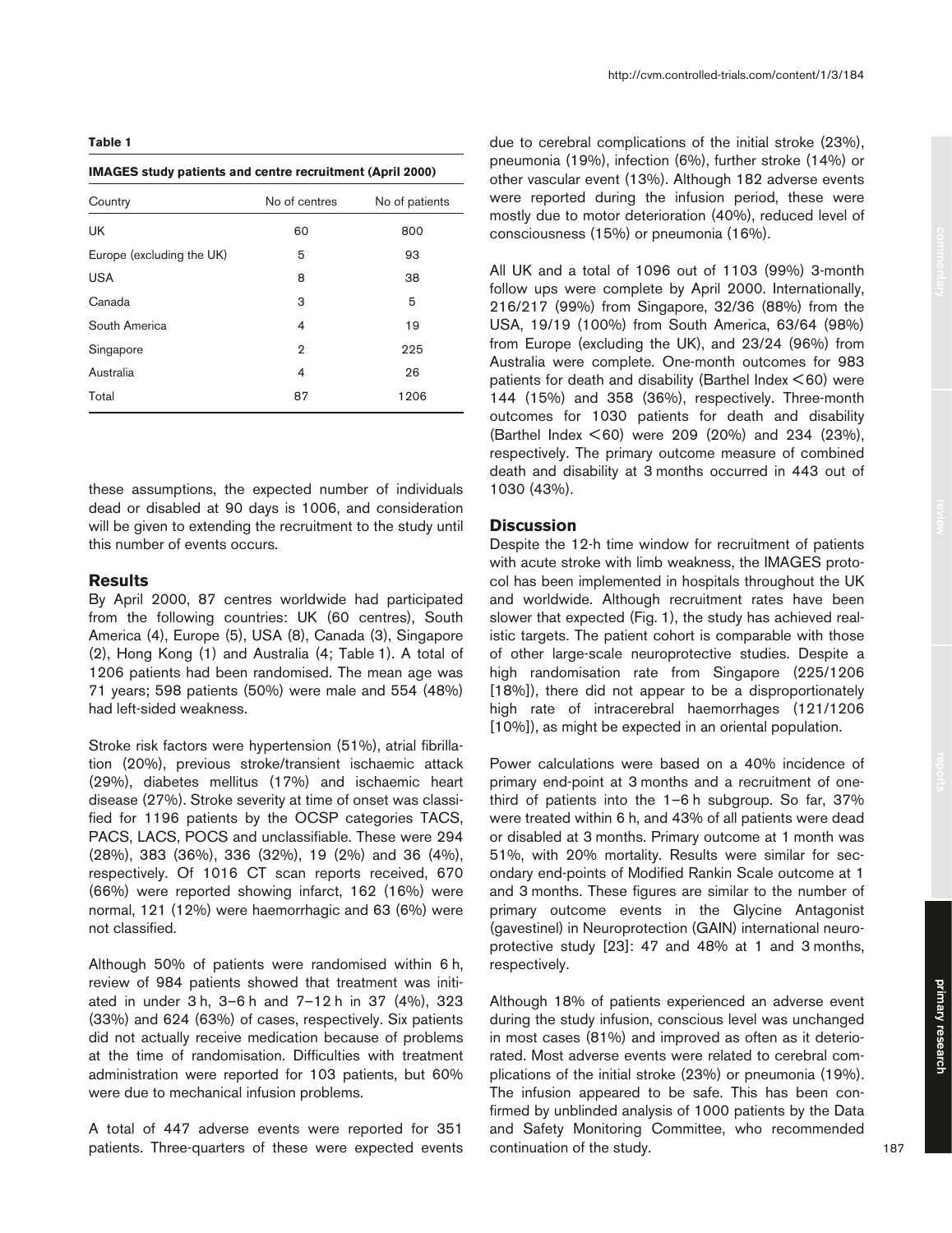#### **Table 1**

**IMAGES study patients and centre recruitment (April 2000)**

| Country                   | No of centres  | No of patients |
|---------------------------|----------------|----------------|
| UK                        | 60             | 800            |
| Europe (excluding the UK) | 5              | 93             |
| <b>USA</b>                | 8              | 38             |
| Canada                    | 3              | 5              |
| South America             | 4              | 19             |
| Singapore                 | $\overline{2}$ | 225            |
| Australia                 | 4              | 26             |
| Total                     | 87             | 1206           |

these assumptions, the expected number of individuals dead or disabled at 90 days is 1006, and consideration will be given to extending the recruitment to the study until this number of events occurs.

# **Results**

By April 2000, 87 centres worldwide had participated from the following countries: UK (60 centres), South America (4), Europe (5), USA (8), Canada (3), Singapore (2), Hong Kong (1) and Australia (4; Table 1). A total of 1206 patients had been randomised. The mean age was 71 years; 598 patients (50%) were male and 554 (48%) had left-sided weakness.

Stroke risk factors were hypertension (51%), atrial fibrillation (20%), previous stroke/transient ischaemic attack (29%), diabetes mellitus (17%) and ischaemic heart disease (27%). Stroke severity at time of onset was classified for 1196 patients by the OCSP categories TACS, PACS, LACS, POCS and unclassifiable. These were 294 (28%), 383 (36%), 336 (32%), 19 (2%) and 36 (4%), respectively. Of 1016 CT scan reports received, 670 (66%) were reported showing infarct, 162 (16%) were normal, 121 (12%) were haemorrhagic and 63 (6%) were not classified.

Although 50% of patients were randomised within 6 h, review of 984 patients showed that treatment was initiated in under 3 h, 3–6 h and 7–12 h in 37 (4%), 323 (33%) and 624 (63%) of cases, respectively. Six patients did not actually receive medication because of problems at the time of randomisation. Difficulties with treatment administration were reported for 103 patients, but 60% were due to mechanical infusion problems.

A total of 447 adverse events were reported for 351 patients. Three-quarters of these were expected events due to cerebral complications of the initial stroke (23%), pneumonia (19%), infection (6%), further stroke (14%) or other vascular event (13%). Although 182 adverse events were reported during the infusion period, these were mostly due to motor deterioration (40%), reduced level of consciousness (15%) or pneumonia (16%).

All UK and a total of 1096 out of 1103 (99%) 3-month follow ups were complete by April 2000. Internationally, 216/217 (99%) from Singapore, 32/36 (88%) from the USA, 19/19 (100%) from South America, 63/64 (98%) from Europe (excluding the UK), and 23/24 (96%) from Australia were complete. One-month outcomes for 983 patients for death and disability (Barthel Index < 60) were 144 (15%) and 358 (36%), respectively. Three-month outcomes for 1030 patients for death and disability (Barthel Index < 60) were 209 (20%) and 234 (23%), respectively. The primary outcome measure of combined death and disability at 3 months occurred in 443 out of 1030 (43%).

## **Discussion**

Despite the 12-h time window for recruitment of patients with acute stroke with limb weakness, the IMAGES protocol has been implemented in hospitals throughout the UK and worldwide. Although recruitment rates have been slower that expected (Fig. 1), the study has achieved realistic targets. The patient cohort is comparable with those of other large-scale neuroprotective studies. Despite a high randomisation rate from Singapore (225/1206 [18%]), there did not appear to be a disproportionately high rate of intracerebral haemorrhages (121/1206 [10%]), as might be expected in an oriental population.

Power calculations were based on a 40% incidence of primary end-point at 3 months and a recruitment of onethird of patients into the 1–6 h subgroup. So far, 37% were treated within 6 h, and 43% of all patients were dead or disabled at 3 months. Primary outcome at 1 month was 51%, with 20% mortality. Results were similar for secondary end-points of Modified Rankin Scale outcome at 1 and 3 months. These figures are similar to the number of primary outcome events in the Glycine Antagonist (gavestinel) in Neuroprotection (GAIN) international neuroprotective study [23]: 47 and 48% at 1 and 3 months, respectively.

Although 18% of patients experienced an adverse event during the study infusion, conscious level was unchanged in most cases (81%) and improved as often as it deteriorated. Most adverse events were related to cerebral complications of the initial stroke (23%) or pneumonia (19%). The infusion appeared to be safe. This has been confirmed by unblinded analysis of 1000 patients by the Data and Safety Monitoring Committee, who recommended continuation of the study.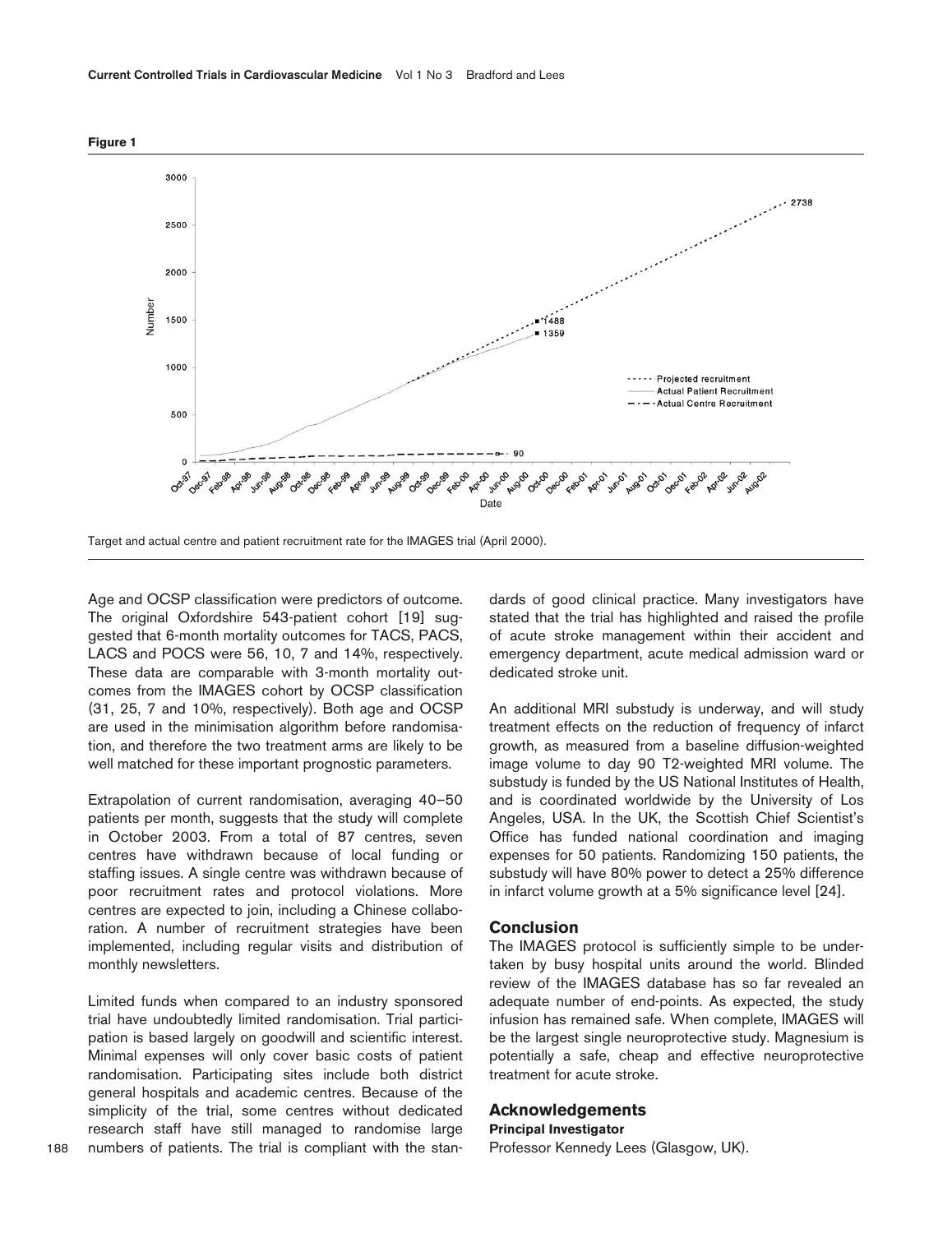**Figure 1**



Target and actual centre and patient recruitment rate for the IMAGES trial (April 2000).

Age and OCSP classification were predictors of outcome. The original Oxfordshire 543-patient cohort [19] suggested that 6-month mortality outcomes for TACS, PACS, LACS and POCS were 56, 10, 7 and 14%, respectively. These data are comparable with 3-month mortality outcomes from the IMAGES cohort by OCSP classification (31, 25, 7 and 10%, respectively). Both age and OCSP are used in the minimisation algorithm before randomisation, and therefore the two treatment arms are likely to be well matched for these important prognostic parameters.

Extrapolation of current randomisation, averaging 40–50 patients per month, suggests that the study will complete in October 2003. From a total of 87 centres, seven centres have withdrawn because of local funding or staffing issues. A single centre was withdrawn because of poor recruitment rates and protocol violations. More centres are expected to join, including a Chinese collaboration. A number of recruitment strategies have been implemented, including regular visits and distribution of monthly newsletters.

Limited funds when compared to an industry sponsored trial have undoubtedly limited randomisation. Trial participation is based largely on goodwill and scientific interest. Minimal expenses will only cover basic costs of patient randomisation. Participating sites include both district general hospitals and academic centres. Because of the simplicity of the trial, some centres without dedicated research staff have still managed to randomise large numbers of patients. The trial is compliant with the standards of good clinical practice. Many investigators have stated that the trial has highlighted and raised the profile of acute stroke management within their accident and emergency department, acute medical admission ward or dedicated stroke unit.

An additional MRI substudy is underway, and will study treatment effects on the reduction of frequency of infarct growth, as measured from a baseline diffusion-weighted image volume to day 90 T2-weighted MRI volume. The substudy is funded by the US National Institutes of Health, and is coordinated worldwide by the University of Los Angeles, USA. In the UK, the Scottish Chief Scientist's Office has funded national coordination and imaging expenses for 50 patients. Randomizing 150 patients, the substudy will have 80% power to detect a 25% difference in infarct volume growth at a 5% significance level [24].

# **Conclusion**

The IMAGES protocol is sufficiently simple to be undertaken by busy hospital units around the world. Blinded review of the IMAGES database has so far revealed an adequate number of end-points. As expected, the study infusion has remained safe. When complete, IMAGES will be the largest single neuroprotective study. Magnesium is potentially a safe, cheap and effective neuroprotective treatment for acute stroke.

# **Acknowledgements**

#### **Principal Investigator**

Professor Kennedy Lees (Glasgow, UK).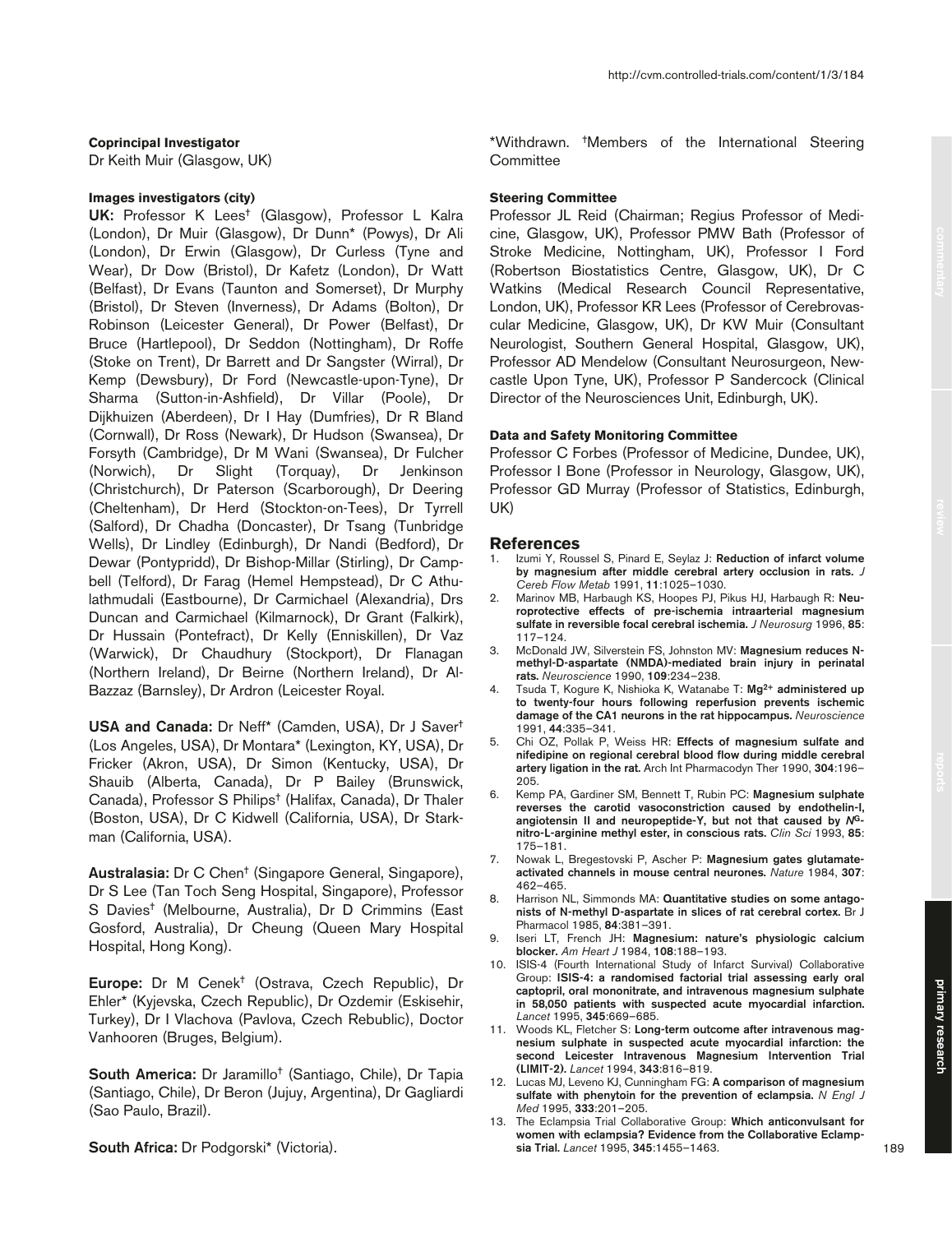# **Coprincipal Investigator**

Dr Keith Muir (Glasgow, UK)

## **Images investigators (city)**

**UK:** Professor K Lees† (Glasgow), Professor L Kalra (London), Dr Muir (Glasgow), Dr Dunn\* (Powys), Dr Ali (London), Dr Erwin (Glasgow), Dr Curless (Tyne and Wear), Dr Dow (Bristol), Dr Kafetz (London), Dr Watt (Belfast), Dr Evans (Taunton and Somerset), Dr Murphy (Bristol), Dr Steven (Inverness), Dr Adams (Bolton), Dr Robinson (Leicester General), Dr Power (Belfast), Dr Bruce (Hartlepool), Dr Seddon (Nottingham), Dr Roffe (Stoke on Trent), Dr Barrett and Dr Sangster (Wirral), Dr Kemp (Dewsbury), Dr Ford (Newcastle-upon-Tyne), Dr Sharma (Sutton-in-Ashfield), Dr Villar (Poole), Dr Dijkhuizen (Aberdeen), Dr I Hay (Dumfries), Dr R Bland (Cornwall), Dr Ross (Newark), Dr Hudson (Swansea), Dr Forsyth (Cambridge), Dr M Wani (Swansea), Dr Fulcher (Norwich), Dr Slight (Torquay), Dr Jenkinson (Christchurch), Dr Paterson (Scarborough), Dr Deering (Cheltenham), Dr Herd (Stockton-on-Tees), Dr Tyrrell (Salford), Dr Chadha (Doncaster), Dr Tsang (Tunbridge Wells), Dr Lindley (Edinburgh), Dr Nandi (Bedford), Dr Dewar (Pontypridd), Dr Bishop-Millar (Stirling), Dr Campbell (Telford), Dr Farag (Hemel Hempstead), Dr C Athulathmudali (Eastbourne), Dr Carmichael (Alexandria), Drs Duncan and Carmichael (Kilmarnock), Dr Grant (Falkirk), Dr Hussain (Pontefract), Dr Kelly (Enniskillen), Dr Vaz (Warwick), Dr Chaudhury (Stockport), Dr Flanagan (Northern Ireland), Dr Beirne (Northern Ireland), Dr Al-Bazzaz (Barnsley), Dr Ardron (Leicester Royal.

**USA and Canada:** Dr Neff\* (Camden, USA), Dr J Saver† (Los Angeles, USA), Dr Montara\* (Lexington, KY, USA), Dr Fricker (Akron, USA), Dr Simon (Kentucky, USA), Dr Shauib (Alberta, Canada), Dr P Bailey (Brunswick, Canada), Professor S Philips† (Halifax, Canada), Dr Thaler (Boston, USA), Dr C Kidwell (California, USA), Dr Starkman (California, USA).

**Australasia:** Dr C Chen† (Singapore General, Singapore), Dr S Lee (Tan Toch Seng Hospital, Singapore), Professor S Davies† (Melbourne, Australia), Dr D Crimmins (East Gosford, Australia), Dr Cheung (Queen Mary Hospital Hospital, Hong Kong).

**Europe:** Dr M Cenek† (Ostrava, Czech Republic), Dr Ehler\* (Kyjevska, Czech Republic), Dr Ozdemir (Eskisehir, Turkey), Dr I Vlachova (Pavlova, Czech Rebublic), Doctor Vanhooren (Bruges, Belgium).

**South America:** Dr Jaramillo† (Santiago, Chile), Dr Tapia (Santiago, Chile), Dr Beron (Jujuy, Argentina), Dr Gagliardi (Sao Paulo, Brazil).

**South Africa:** Dr Podgorski\* (Victoria).

\*Withdrawn. †Members of the International Steering **Committee** 

#### **Steering Committee**

Professor JL Reid (Chairman; Regius Professor of Medicine, Glasgow, UK), Professor PMW Bath (Professor of Stroke Medicine, Nottingham, UK), Professor I Ford (Robertson Biostatistics Centre, Glasgow, UK), Dr C Watkins (Medical Research Council Representative, London, UK), Professor KR Lees (Professor of Cerebrovascular Medicine, Glasgow, UK), Dr KW Muir (Consultant Neurologist, Southern General Hospital, Glasgow, UK), Professor AD Mendelow (Consultant Neurosurgeon, Newcastle Upon Tyne, UK), Professor P Sandercock (Clinical Director of the Neurosciences Unit, Edinburgh, UK).

## **Data and Safety Monitoring Committee**

Professor C Forbes (Professor of Medicine, Dundee, UK), Professor I Bone (Professor in Neurology, Glasgow, UK), Professor GD Murray (Professor of Statistics, Edinburgh, UK)

#### **References**

- 1. Izumi Y, Roussel S, Pinard E, Seylaz J: **Reduction of infarct volume by magnesium after middle cerebral artery occlusion in rats.** *J Cereb Flow Metab* 1991, **11**:1025–1030.
- 2. Marinov MB, Harbaugh KS, Hoopes PJ, Pikus HJ, Harbaugh R: **Neuroprotective effects of pre-ischemia intraarterial magnesium sulfate in reversible focal cerebral ischemia.** *J Neurosurg* 1996, **85**: 117–124.
- 3. McDonald JW, Silverstein FS, Johnston MV: **Magnesium reduces Nmethyl-D-aspartate (NMDA)-mediated brain injury in perinatal rats.** *Neuroscience* 1990, **109**:234–238.
- 4. Tsuda T, Kogure K, Nishioka K, Watanabe T: **Mg2+ administered up to twenty-four hours following reperfusion prevents ischemic damage of the CA1 neurons in the rat hippocampus.** *Neuroscience* 1991, **44**:335–341.
- 5. Chi OZ, Pollak P, Weiss HR: **Effects of magnesium sulfate and nifedipine on regional cerebral blood flow during middle cerebral artery ligation in the rat.** Arch Int Pharmacodyn Ther 1990, **304**:196– 205.
- 6. Kemp PA, Gardiner SM, Bennett T, Rubin PC: **Magnesium sulphate reverses the carotid vasoconstriction caused by endothelin-I, angiotensin II and neuropeptide-Y, but not that caused by** *N***Gnitro-L-arginine methyl ester, in conscious rats.** *Clin Sci* 1993, **85**: 175–181.
- 7. Nowak L, Bregestovski P, Ascher P: **Magnesium gates glutamateactivated channels in mouse central neurones.** *Nature* 1984, **307**: 462–465.
- 8. Harrison NL, Simmonds MA: **Quantitative studies on some antagonists of N-methyl D-aspartate in slices of rat cerebral cortex.** Br J Pharmacol 1985, **84**:381–391.
- 9. Iseri LT, French JH: **Magnesium: nature's physiologic calcium blocker.** *Am Heart J* 1984, **108**:188–193.
- 10. ISIS-4 (Fourth International Study of Infarct Survival) Collaborative Group: **ISIS-4: a randomised factorial trial assessing early oral captopril, oral mononitrate, and intravenous magnesium sulphate in 58,050 patients with suspected acute myocardial infarction.** *Lancet* 1995, **345**:669–685.
- 11. Woods KL, Fletcher S: **Long-term outcome after intravenous magnesium sulphate in suspected acute myocardial infarction: the second Leicester Intravenous Magnesium Intervention Trial (LIMIT-2).** *Lancet* 1994, **343**:816–819.
- 12. Lucas MJ, Leveno KJ, Cunningham FG: **A comparison of magnesium sulfate with phenytoin for the prevention of eclampsia.** *N Engl J Med* 1995, **333**:201–205.
- 13. The Eclampsia Trial Collaborative Group: **Which anticonvulsant for women with eclampsia? Evidence from the Collaborative Eclampsia Trial.** *Lancet* 1995, **345**:1455–1463.